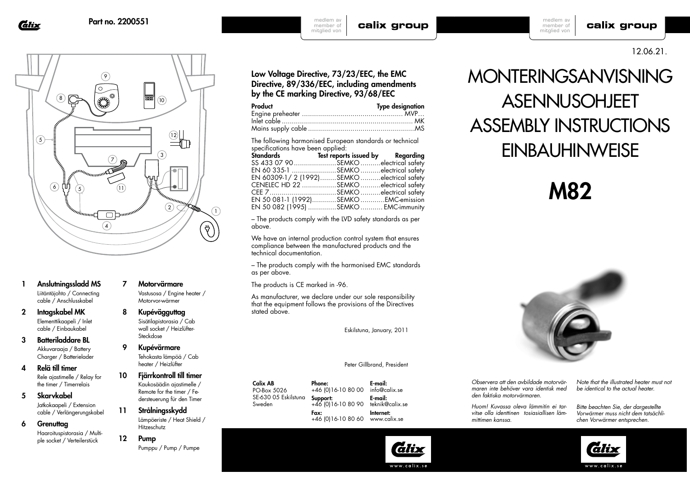Glix



- 1 Anslutningssladd MS Liitäntäjohto / Connecting cable / Anschlusskabel
- 2 Intagskabel MK Elementtikaapeli / Inlet cable / Einbaukabel
- 3 Batteriladdare BL Akkuvaraaja / Battery Charger / Batterielader
- 4 Relä till timer Rele ajastimelle / Relay for the timer / Timerrelais
- 5 Skarvkabel Jatkokaapeli / Extension cable / Verlängerungskabel
- 6 Grenuttag Haaroituspistorasia / Multiple socket / Verteilerstück
- 7 Motorvärmare Vastusosa / Engine heater / Motorvor-wärmer
- 8 Kupévägguttag Sisätilapistorasia / Cab wall socket / Heizlüfter-Steckdose

9 Kupévärmare Tehokasta lämpöä / Cab heater / Heizlüfter

- 10 Fjärrkontroll till timer Kaukosäädin ajastimelle / Remote for the timer / Federsteuerung für den Timer
- 11 Strålningsskydd Lämpöeriste / Heat Shield / Hitzeschutz
- 12 Pump Pumppu / Pump / Pumpe

Low Voltage Directive, 73/23/EEC, the EMC Directive, 89/336/EEC, including amendments by the CE marking Directive, 93/68/EEC

calix group

| <b>Type designation</b> |
|-------------------------|
|                         |
|                         |
|                         |
|                         |

medlem av member of mitglied von

The following harmonised European standards or technical specifications have been applied:

| Standards Test reports issued by Regarding |  |
|--------------------------------------------|--|
| SS 433 07 90SEMKOelectrical safety         |  |
| EN 60 335-1 SEMKO electrical safety        |  |
| EN 60309-1/2 (1992)SEMKOelectrical safety  |  |
| CENELEC HD 22 SEMKO electrical safety      |  |
| CEE 7SEMKOelectrical safety                |  |
| EN 50 081-1 (1992)SEMKOEMC-emission        |  |
| EN 50 082 (1995) SEMKO  EMC-immunity       |  |
|                                            |  |

– The products comply with the LVD safety standards as per above.

We have an internal production control system that ensures compliance between the manufactured products and the technical documentation.

– The products comply with the harmonised EMC standards as per above.

The products is CE marked in -96.

As manufacturer, we declare under our sole responsibility that the equipment follows the provisions of the Directives stated above.

Eskilstuna, January, 2011

### Peter Gillbrand, President

Calix AB PO-Box 5026 SE-630 05 Eskilstuna Sweden Phone: Support: Fax:

+46 (0)16-10 80 00 +46 (0)16-10 80 90 +46 (0)16-10 80 60 www.calix.se info@calix.se E-mail: Internet:

E-mail: teknik@calix.se

# MONTERINGSANVISNING

## **ASENNUSOHJEET** ASSEMBLY INSTRUCTIONS **EINBAUHINWEISE**

## M82



*Observera att den avbildade motorvärmaren inte behöver vara identisk med den faktiska motorvärmaren.*

*mittimen kanssa.*

*Note that the illustrated heater must not be identical to the actual heater.*

*Bitte beachten Sie, der dargestellte Vorwärmer muss nicht dem tatsächlichen Vorwärmer entsprechen.* 



www.calix.se

#### medlem av calix group member of mitglied von

12.06.21.